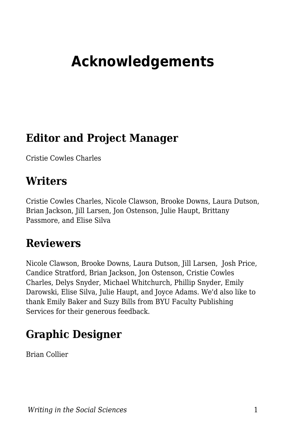# **Acknowledgements**

### **Editor and Project Manager**

Cristie Cowles Charles

#### **Writers**

Cristie Cowles Charles, Nicole Clawson, Brooke Downs, Laura Dutson, Brian Jackson, Jill Larsen, Jon Ostenson, Julie Haupt, Brittany Passmore, and Elise Silva

#### **Reviewers**

Nicole Clawson, Brooke Downs, Laura Dutson, Jill Larsen, Josh Price, Candice Stratford, Brian Jackson, Jon Ostenson, Cristie Cowles Charles, Delys Snyder, Michael Whitchurch, Phillip Snyder, Emily Darowski, Elise Silva, Julie Haupt, and Joyce Adams. We'd also like to thank Emily Baker and Suzy Bills from BYU Faculty Publishing Services for their generous feedback.

### **Graphic Designer**

Brian Collier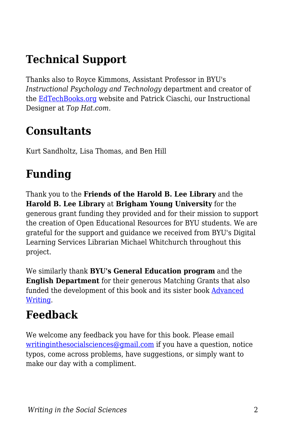# **Technical Support**

Thanks also to Royce Kimmons, Assistant Professor in BYU's *Instructional Psychology and Technology* department and creator of the [EdTechBooks.org](https://edtechbooks.org/writing/EdTechBooks.org) website and Patrick Ciaschi, our Instructional Designer at *Top Hat.com*.

### **Consultants**

Kurt Sandholtz, Lisa Thomas, and Ben Hill

# **Funding**

Thank you to the **Friends of the Harold B. Lee Library** and the **Harold B. Lee Library** at **Brigham Young University** for the generous grant funding they provided and for their mission to support the creation of Open Educational Resources for BYU students. We are grateful for the support and guidance we received from BYU's Digital Learning Services Librarian Michael Whitchurch throughout this project.

We similarly thank **BYU's General Education program** and the **English Department** for their generous Matching Grants that also funded the development of this book and its sister book [Advanced](https://edtechbooks.org/advancedwriting) [Writing](https://edtechbooks.org/advancedwriting).

# **Feedback**

We welcome any feedback you have for this book. Please email [writinginthesocialsciences@gmail.com](http://writinginthesocialsciences@gmail.com/) if you have a question, notice typos, come across problems, have suggestions, or simply want to make our day with a compliment.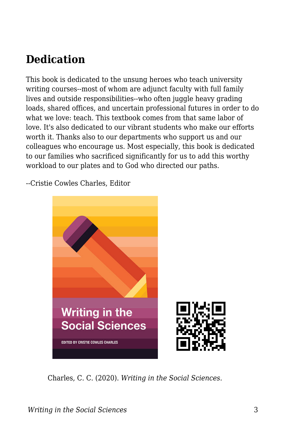# **Dedication**

This book is dedicated to the unsung heroes who teach university writing courses--most of whom are adjunct faculty with full family lives and outside responsibilities--who often juggle heavy grading loads, shared offices, and uncertain professional futures in order to do what we love: teach. This textbook comes from that same labor of love. It's also dedicated to our vibrant students who make our efforts worth it. Thanks also to our departments who support us and our colleagues who encourage us. Most especially, this book is dedicated to our families who sacrificed significantly for us to add this worthy workload to our plates and to God who directed our paths.

--Cristie Cowles Charles, Editor



Charles, C. C. (2020). *Writing in the Social Sciences*.